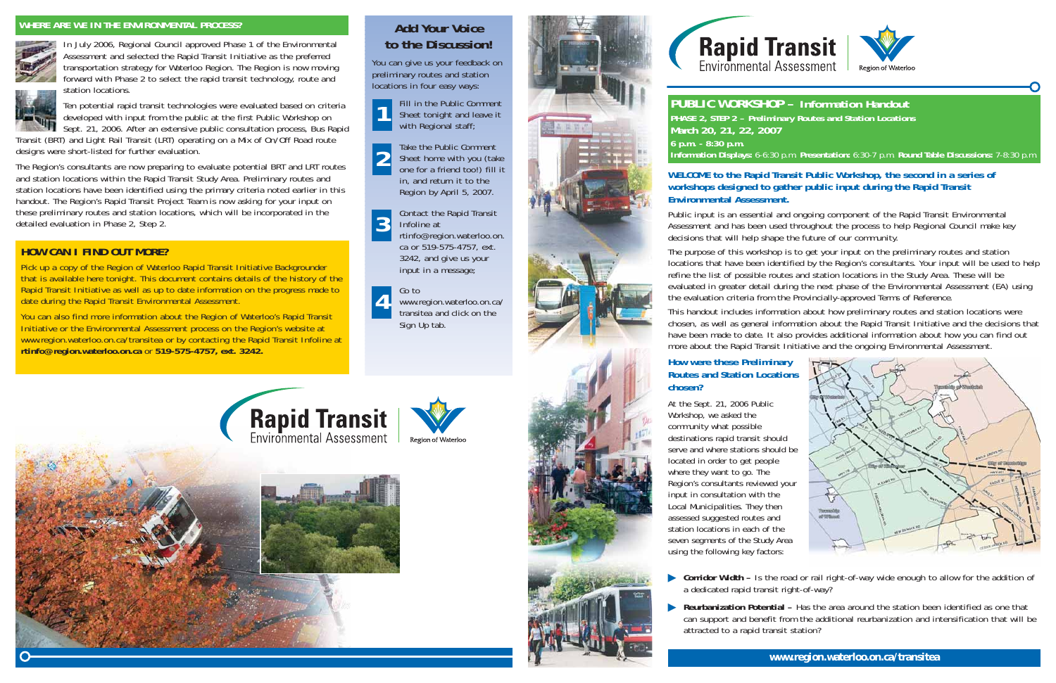### **HOW CAN I FIND OUT MORE?**

Pick up a copy of the Region of Waterloo Rapid Transit Initiative Backgrounder that is available here tonight. This document contains details of the history of the Rapid Transit Initiative as well as up to date information on the progress made to date during the Rapid Transit Environmental Assessment.

You can also find more information about the Region of Waterloo's Rapid Transit Initiative or the Environmental Assessment process on the Region's website at www.region.waterloo.on.ca/transitea or by contacting the Rapid Transit Infoline at **rtinfo@region.waterloo.on.ca** or **519-575-4757, ext. 3242.**



You can give us your feedback on preliminary routes and station locations in four easy ways:

> rtinfo@region.waterloo.on. ca or 519-575-4757, ext. 3242, and give us your input in a message;

Go to

www.region.waterloo.on.ca/ transitea and click on theSign Up tab.















**PUBLIC WORKSHOP – Information Handout** *PHASE 2, STEP 2* **–** *Preliminary Routes and Station Locations* **March 20, 21, 22, 2007 6 p.m. - 8:30 p.m.**

### **Information Displays:** 6-6:30 p.m. **Presentation:** 6:30-7 p.m. **Round Table Discussions:** 7-8:30 p.m.





**Corridor Width –** Is the road or rail right-of-way wide enough to allow for the addition of

### **WELCOME to the Rapid Transit Public Workshop, the second in a series of workshops designed to gather public input during the Rapid Transit Environmental Assessment.**

Public input is an essential and ongoing component of the Rapid Transit Environmental Assessment and has been used throughout the process to help Regional Council make key decisions that will help shape the future of our community.

**• Reurbanization Potential –** Has the area around the station been identified as one that can support and benefit from the additional reurbanization and intensification that will be

The purpose of this workshop is to get your input on the preliminary routes and station locations that have been identified by the Region's consultants. Your input will be used to help refine the list of possible routes and station locations in the Study Area. These will be evaluated in greater detail during the next phase of the Environmental Assessment (EA) using the evaluation criteria from the Provincially-approved Terms of Reference.

This handout includes information about how preliminary routes and station locations were chosen, as well as general information about the Rapid Transit Initiative and the decisions that have been made to date. It also provides additional information about how you can find out more about the Rapid Transit Initiative and the ongoing Environmental Assessment.

Fill in the Public Comment Sheet tonight and leave it with Regional staff; **1**

Take the Public Comment Sheet home with you (take one for a friend too!) fill it in, and return it to the Region by April 5, 2007. **2**

Contact the Rapid Transit Infoline at**3**

> At the Sept. 21, 2006 Public Workshop, we asked the community what possible destinations rapid transit should serve and where stations should be located in order to get people where they want to go. The Region's consultants reviewed your input in consultation with the Local Municipalities. They then assessed suggested routes and station locations in each of theseven segments of the Study Area using the following key factors:

### **How were these Preliminary Routes and Station Locations chosen?**

- a dedicated rapid transit right-of-way?
- attracted to a rapid transit station?





In July 2006, Regional Council approved Phase 1 of the Environmental Assessment and selected the Rapid Transit Initiative as the preferred transportation strategy for Waterloo Region. The Region is now moving forward with Phase 2 to select the rapid transit technology, route and



station locations.Ten potential rapid transit technologies were evaluated based on criteria developed with input from the public at the first Public Workshop on

Sept. 21, 2006. After an extensive public consultation process, Bus Rapid Transit (BRT) and Light Rail Transit (LRT) operating on a Mix of On/Off Road route designs were short-listed for further evaluation.

The Region's consultants are now preparing to evaluate potential BRT and LRT routes and station locations within the Rapid Transit Study Area. Preliminary routes and station locations have been identified using the primary criteria noted earlier in this handout. The Region's Rapid Transit Project Team is now asking for your input on these preliminary routes and station locations, which will be incorporated in the detailed evaluation in Phase 2, Step 2.

### **WHERE ARE WE IN THE ENVIRONMENTAL PROCESS?**



**4**